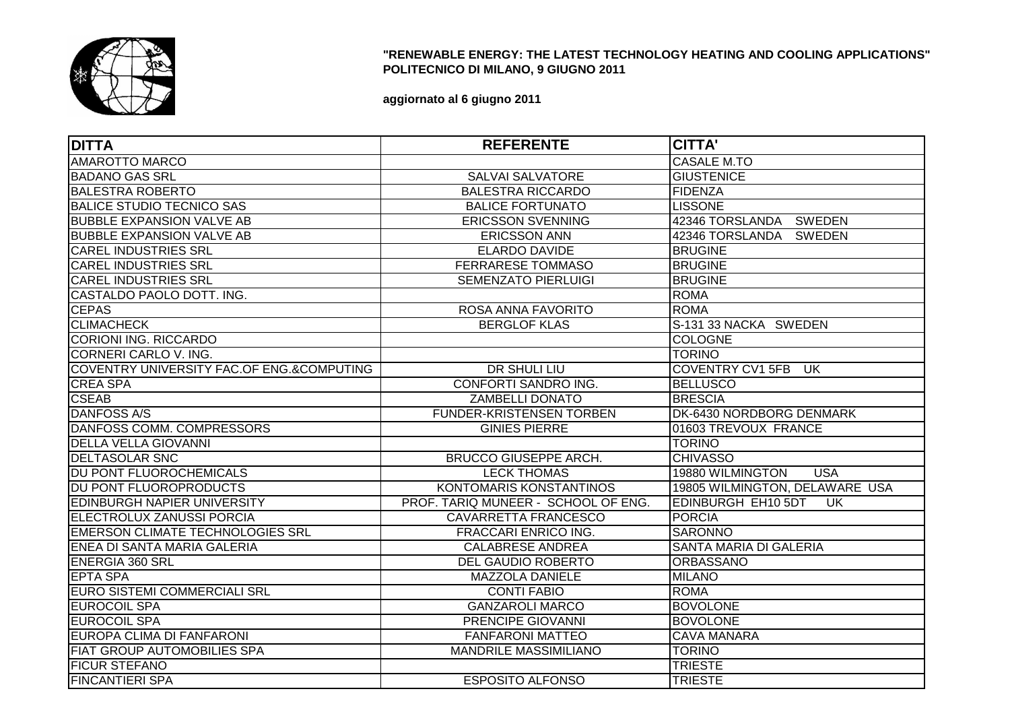

## **"RENEWABLE ENERGY: THE LATEST TECHNOLOGY HEATING AND COOLING APPLICATIONS"POLITECNICO DI MILANO, 9 GIUGNO 2011**

**aggiornato al 6 giugno 2011**

| <b>DITTA</b>                              | <b>REFERENTE</b>                    | <b>CITTA'</b>                  |
|-------------------------------------------|-------------------------------------|--------------------------------|
| <b>AMAROTTO MARCO</b>                     |                                     | <b>CASALE M.TO</b>             |
| <b>BADANO GAS SRL</b>                     | <b>SALVAI SALVATORE</b>             | <b>GIUSTENICE</b>              |
| <b>BALESTRA ROBERTO</b>                   | <b>BALESTRA RICCARDO</b>            | <b>FIDENZA</b>                 |
| <b>BALICE STUDIO TECNICO SAS</b>          | <b>BALICE FORTUNATO</b>             | <b>LISSONE</b>                 |
| <b>BUBBLE EXPANSION VALVE AB</b>          | <b>ERICSSON SVENNING</b>            | 42346 TORSLANDA SWEDEN         |
| <b>BUBBLE EXPANSION VALVE AB</b>          | <b>ERICSSON ANN</b>                 | 42346 TORSLANDA SWEDEN         |
| <b>CAREL INDUSTRIES SRL</b>               | <b>ELARDO DAVIDE</b>                | <b>BRUGINE</b>                 |
| <b>CAREL INDUSTRIES SRL</b>               | FERRARESE TOMMASO                   | <b>BRUGINE</b>                 |
| <b>CAREL INDUSTRIES SRL</b>               | <b>SEMENZATO PIERLUIGI</b>          | <b>BRUGINE</b>                 |
| CASTALDO PAOLO DOTT. ING.                 |                                     | <b>ROMA</b>                    |
| <b>CEPAS</b>                              | ROSA ANNA FAVORITO                  | <b>ROMA</b>                    |
| <b>CLIMACHECK</b>                         | <b>BERGLOF KLAS</b>                 | S-131 33 NACKA SWEDEN          |
| <b>CORIONI ING. RICCARDO</b>              |                                     | <b>COLOGNE</b>                 |
| CORNERI CARLO V. ING.                     |                                     | <b>TORINO</b>                  |
| COVENTRY UNIVERSITY FAC.OF ENG.&COMPUTING | DR SHULI LIU                        | COVENTRY CV1 5FB UK            |
| <b>CREA SPA</b>                           | CONFORTI SANDRO ING.                | <b>BELLUSCO</b>                |
| <b>CSEAB</b>                              | <b>ZAMBELLI DONATO</b>              | <b>BRESCIA</b>                 |
| <b>DANFOSS A/S</b>                        | <b>FUNDER-KRISTENSEN TORBEN</b>     | DK-6430 NORDBORG DENMARK       |
| DANFOSS COMM. COMPRESSORS                 | <b>GINIES PIERRE</b>                | 01603 TREVOUX FRANCE           |
| <b>DELLA VELLA GIOVANNI</b>               |                                     | <b>TORINO</b>                  |
| <b>DELTASOLAR SNC</b>                     | <b>BRUCCO GIUSEPPE ARCH.</b>        | <b>CHIVASSO</b>                |
| DU PONT FLUOROCHEMICALS                   | <b>LECK THOMAS</b>                  | 19880 WILMINGTON<br><b>USA</b> |
| DU PONT FLUOROPRODUCTS                    | KONTOMARIS KONSTANTINOS             | 19805 WILMINGTON, DELAWARE USA |
| <b>EDINBURGH NAPIER UNIVERSITY</b>        | PROF. TARIQ MUNEER - SCHOOL OF ENG. | EDINBURGH EH10 5DT<br>UK.      |
| ELECTROLUX ZANUSSI PORCIA                 | CAVARRETTA FRANCESCO                | <b>PORCIA</b>                  |
| <b>EMERSON CLIMATE TECHNOLOGIES SRL</b>   | <b>FRACCARI ENRICO ING.</b>         | <b>SARONNO</b>                 |
| ENEA DI SANTA MARIA GALERIA               | <b>CALABRESE ANDREA</b>             | SANTA MARIA DI GALERIA         |
| <b>ENERGIA 360 SRL</b>                    | DEL GAUDIO ROBERTO                  | <b>ORBASSANO</b>               |
| <b>EPTA SPA</b>                           | <b>MAZZOLA DANIELE</b>              | <b>MILANO</b>                  |
| <b>EURO SISTEMI COMMERCIALI SRL</b>       | <b>CONTI FABIO</b>                  | <b>ROMA</b>                    |
| <b>EUROCOIL SPA</b>                       | <b>GANZAROLI MARCO</b>              | <b>BOVOLONE</b>                |
| <b>EUROCOIL SPA</b>                       | PRENCIPE GIOVANNI                   | <b>BOVOLONE</b>                |
| EUROPA CLIMA DI FANFARONI                 | <b>FANFARONI MATTEO</b>             | <b>CAVA MANARA</b>             |
| <b>FIAT GROUP AUTOMOBILIES SPA</b>        | <b>MANDRILE MASSIMILIANO</b>        | <b>TORINO</b>                  |
| <b>FICUR STEFANO</b>                      |                                     | <b>TRIESTE</b>                 |
| <b>FINCANTIERI SPA</b>                    | <b>ESPOSITO ALFONSO</b>             | <b>TRIESTE</b>                 |